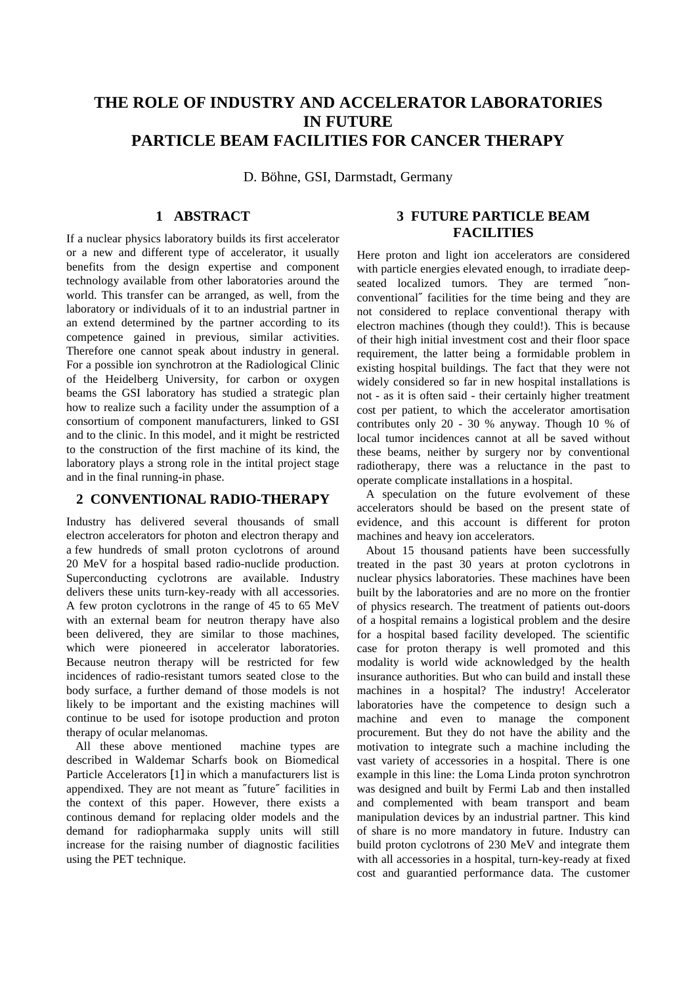# **THE ROLE OF INDUSTRY AND ACCELERATOR LABORATORIES IN FUTURE PARTICLE BEAM FACILITIES FOR CANCER THERAPY**

D. Böhne, GSI, Darmstadt, Germany

## **1 ABSTRACT**

If a nuclear physics laboratory builds its first accelerator or a new and different type of accelerator, it usually benefits from the design expertise and component technology available from other laboratories around the world. This transfer can be arranged, as well, from the laboratory or individuals of it to an industrial partner in an extend determined by the partner according to its competence gained in previous, similar activities. Therefore one cannot speak about industry in general. For a possible ion synchrotron at the Radiological Clinic of the Heidelberg University, for carbon or oxygen beams the GSI laboratory has studied a strategic plan how to realize such a facility under the assumption of a consortium of component manufacturers, linked to GSI and to the clinic. In this model, and it might be restricted to the construction of the first machine of its kind, the laboratory plays a strong role in the intital project stage and in the final running-in phase.

#### **2 CONVENTIONAL RADIO-THERAPY**

Industry has delivered several thousands of small electron accelerators for photon and electron therapy and a few hundreds of small proton cyclotrons of around 20 MeV for a hospital based radio-nuclide production. Superconducting cyclotrons are available. Industry delivers these units turn-key-ready with all accessories. A few proton cyclotrons in the range of 45 to 65 MeV with an external beam for neutron therapy have also been delivered, they are similar to those machines, which were pioneered in accelerator laboratories. Because neutron therapy will be restricted for few incidences of radio-resistant tumors seated close to the body surface, a further demand of those models is not likely to be important and the existing machines will continue to be used for isotope production and proton therapy of ocular melanomas.

 All these above mentioned machine types are described in Waldemar Scharfs book on Biomedical Particle Accelerators [1] in which a manufacturers list is appendixed. They are not meant as ″future″ facilities in the context of this paper. However, there exists a continous demand for replacing older models and the demand for radiopharmaka supply units will still increase for the raising number of diagnostic facilities using the PET technique.

# **3 FUTURE PARTICLE BEAM FACILITIES**

Here proton and light ion accelerators are considered with particle energies elevated enough, to irradiate deepseated localized tumors. They are termed ″nonconventional″ facilities for the time being and they are not considered to replace conventional therapy with electron machines (though they could!). This is because of their high initial investment cost and their floor space requirement, the latter being a formidable problem in existing hospital buildings. The fact that they were not widely considered so far in new hospital installations is not - as it is often said - their certainly higher treatment cost per patient, to which the accelerator amortisation contributes only 20 - 30 % anyway. Though 10 % of local tumor incidences cannot at all be saved without these beams, neither by surgery nor by conventional radiotherapy, there was a reluctance in the past to operate complicate installations in a hospital.

 A speculation on the future evolvement of these accelerators should be based on the present state of evidence, and this account is different for proton machines and heavy ion accelerators.

 About 15 thousand patients have been successfully treated in the past 30 years at proton cyclotrons in nuclear physics laboratories. These machines have been built by the laboratories and are no more on the frontier of physics research. The treatment of patients out-doors of a hospital remains a logistical problem and the desire for a hospital based facility developed. The scientific case for proton therapy is well promoted and this modality is world wide acknowledged by the health insurance authorities. But who can build and install these machines in a hospital? The industry! Accelerator laboratories have the competence to design such a machine and even to manage the component procurement. But they do not have the ability and the motivation to integrate such a machine including the vast variety of accessories in a hospital. There is one example in this line: the Loma Linda proton synchrotron was designed and built by Fermi Lab and then installed and complemented with beam transport and beam manipulation devices by an industrial partner. This kind of share is no more mandatory in future. Industry can build proton cyclotrons of 230 MeV and integrate them with all accessories in a hospital, turn-key-ready at fixed cost and guarantied performance data. The customer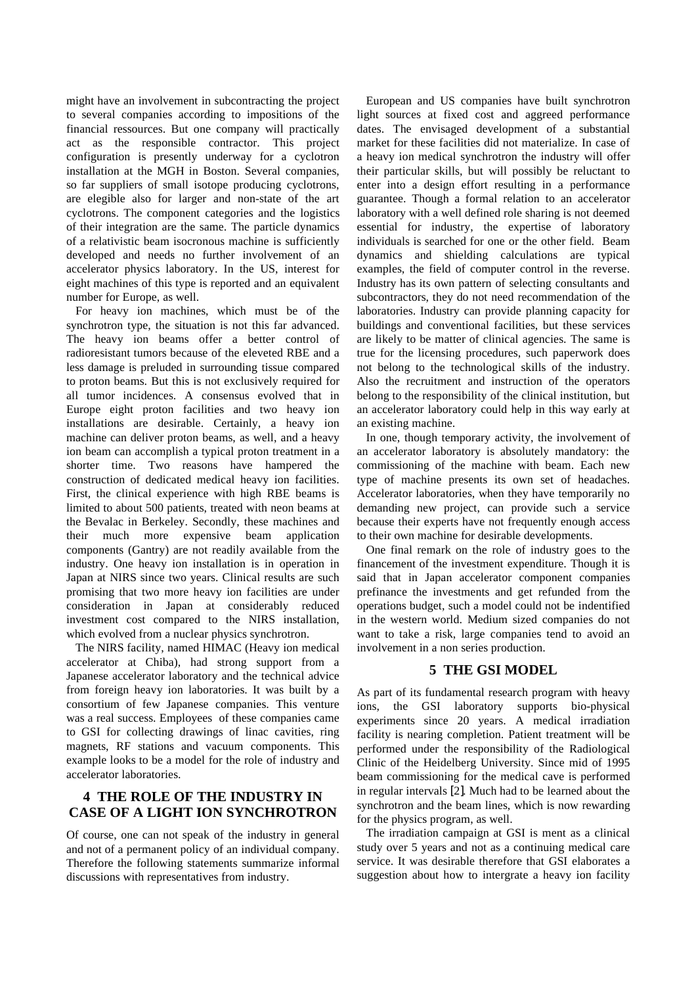might have an involvement in subcontracting the project to several companies according to impositions of the financial ressources. But one company will practically act as the responsible contractor. This project configuration is presently underway for a cyclotron installation at the MGH in Boston. Several companies, so far suppliers of small isotope producing cyclotrons, are elegible also for larger and non-state of the art cyclotrons. The component categories and the logistics of their integration are the same. The particle dynamics of a relativistic beam isocronous machine is sufficiently developed and needs no further involvement of an accelerator physics laboratory. In the US, interest for eight machines of this type is reported and an equivalent number for Europe, as well.

 For heavy ion machines, which must be of the synchrotron type, the situation is not this far advanced. The heavy ion beams offer a better control of radioresistant tumors because of the eleveted RBE and a less damage is preluded in surrounding tissue compared to proton beams. But this is not exclusively required for all tumor incidences. A consensus evolved that in Europe eight proton facilities and two heavy ion installations are desirable. Certainly, a heavy ion machine can deliver proton beams, as well, and a heavy ion beam can accomplish a typical proton treatment in a shorter time. Two reasons have hampered the construction of dedicated medical heavy ion facilities. First, the clinical experience with high RBE beams is limited to about 500 patients, treated with neon beams at the Bevalac in Berkeley. Secondly, these machines and their much more expensive beam application components (Gantry) are not readily available from the industry. One heavy ion installation is in operation in Japan at NIRS since two years. Clinical results are such promising that two more heavy ion facilities are under consideration in Japan at considerably reduced investment cost compared to the NIRS installation, which evolved from a nuclear physics synchrotron.

 The NIRS facility, named HIMAC (Heavy ion medical accelerator at Chiba), had strong support from a Japanese accelerator laboratory and the technical advice from foreign heavy ion laboratories. It was built by a consortium of few Japanese companies. This venture was a real success. Employees of these companies came to GSI for collecting drawings of linac cavities, ring magnets, RF stations and vacuum components. This example looks to be a model for the role of industry and accelerator laboratories.

# **4 THE ROLE OF THE INDUSTRY IN CASE OF A LIGHT ION SYNCHROTRON**

Of course, one can not speak of the industry in general and not of a permanent policy of an individual company. Therefore the following statements summarize informal discussions with representatives from industry.

 European and US companies have built synchrotron light sources at fixed cost and aggreed performance dates. The envisaged development of a substantial market for these facilities did not materialize. In case of a heavy ion medical synchrotron the industry will offer their particular skills, but will possibly be reluctant to enter into a design effort resulting in a performance guarantee. Though a formal relation to an accelerator laboratory with a well defined role sharing is not deemed essential for industry, the expertise of laboratory individuals is searched for one or the other field. Beam dynamics and shielding calculations are typical examples, the field of computer control in the reverse. Industry has its own pattern of selecting consultants and subcontractors, they do not need recommendation of the laboratories. Industry can provide planning capacity for buildings and conventional facilities, but these services are likely to be matter of clinical agencies. The same is true for the licensing procedures, such paperwork does not belong to the technological skills of the industry. Also the recruitment and instruction of the operators belong to the responsibility of the clinical institution, but an accelerator laboratory could help in this way early at an existing machine.

 In one, though temporary activity, the involvement of an accelerator laboratory is absolutely mandatory: the commissioning of the machine with beam. Each new type of machine presents its own set of headaches. Accelerator laboratories, when they have temporarily no demanding new project, can provide such a service because their experts have not frequently enough access to their own machine for desirable developments.

 One final remark on the role of industry goes to the financement of the investment expenditure. Though it is said that in Japan accelerator component companies prefinance the investments and get refunded from the operations budget, such a model could not be indentified in the western world. Medium sized companies do not want to take a risk, large companies tend to avoid an involvement in a non series production.

## **5 THE GSI MODEL**

As part of its fundamental research program with heavy ions, the GSI laboratory supports bio-physical experiments since 20 years. A medical irradiation facility is nearing completion. Patient treatment will be performed under the responsibility of the Radiological Clinic of the Heidelberg University. Since mid of 1995 beam commissioning for the medical cave is performed in regular intervals [2]. Much had to be learned about the synchrotron and the beam lines, which is now rewarding for the physics program, as well.

 The irradiation campaign at GSI is ment as a clinical study over 5 years and not as a continuing medical care service. It was desirable therefore that GSI elaborates a suggestion about how to intergrate a heavy ion facility